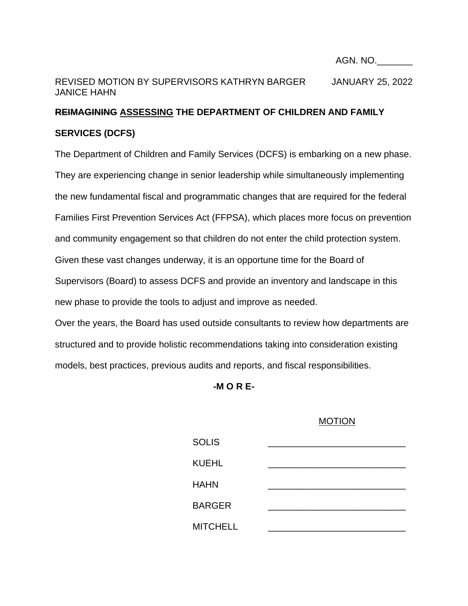#### AGN. NO.\_\_\_\_\_\_\_

# REVISED MOTION BY SUPERVISORS KATHRYN BARGER JANUARY 25, 2022 JANICE HAHN

# **REIMAGINING ASSESSING THE DEPARTMENT OF CHILDREN AND FAMILY SERVICES (DCFS)**

The Department of Children and Family Services (DCFS) is embarking on a new phase. They are experiencing change in senior leadership while simultaneously implementing the new fundamental fiscal and programmatic changes that are required for the federal Families First Prevention Services Act (FFPSA), which places more focus on prevention and community engagement so that children do not enter the child protection system. Given these vast changes underway, it is an opportune time for the Board of Supervisors (Board) to assess DCFS and provide an inventory and landscape in this new phase to provide the tools to adjust and improve as needed.

Over the years, the Board has used outside consultants to review how departments are structured and to provide holistic recommendations taking into consideration existing models, best practices, previous audits and reports, and fiscal responsibilities.

**-M O R E-**

#### MOTION

| <b>SOLIS</b>    |  |
|-----------------|--|
| <b>KUEHL</b>    |  |
| <b>HAHN</b>     |  |
| <b>BARGER</b>   |  |
| <b>MITCHELL</b> |  |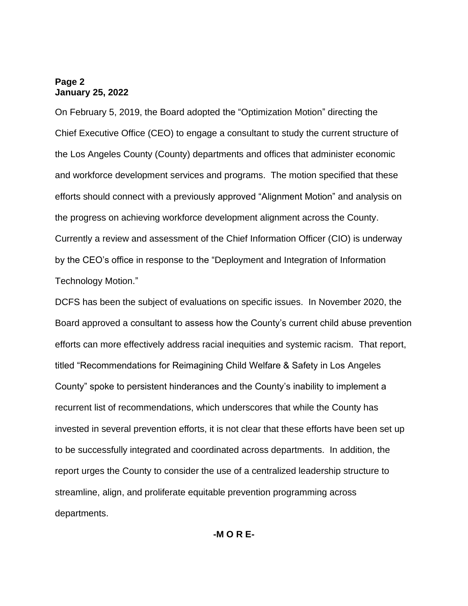## **Page 2 January 25, 2022**

On February 5, 2019, the Board adopted the "Optimization Motion" directing the Chief Executive Office (CEO) to engage a consultant to study the current structure of the Los Angeles County (County) departments and offices that administer economic and workforce development services and programs. The motion specified that these efforts should connect with a previously approved "Alignment Motion" and analysis on the progress on achieving workforce development alignment across the County. Currently a review and assessment of the Chief Information Officer (CIO) is underway by the CEO's office in response to the "Deployment and Integration of Information Technology Motion."

DCFS has been the subject of evaluations on specific issues. In November 2020, the Board approved a consultant to assess how the County's current child abuse prevention efforts can more effectively address racial inequities and systemic racism. That report, titled "Recommendations for Reimagining Child Welfare & Safety in Los Angeles County" spoke to persistent hinderances and the County's inability to implement a recurrent list of recommendations, which underscores that while the County has invested in several prevention efforts, it is not clear that these efforts have been set up to be successfully integrated and coordinated across departments. In addition, the report urges the County to consider the use of a centralized leadership structure to streamline, align, and proliferate equitable prevention programming across departments.

**-M O R E-**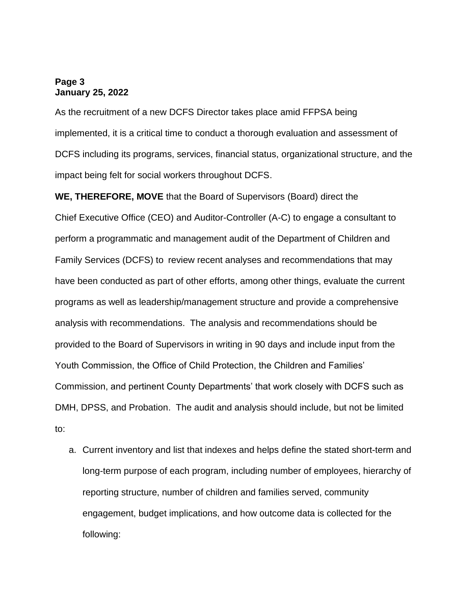## **Page 3 January 25, 2022**

As the recruitment of a new DCFS Director takes place amid FFPSA being implemented, it is a critical time to conduct a thorough evaluation and assessment of DCFS including its programs, services, financial status, organizational structure, and the impact being felt for social workers throughout DCFS.

**WE, THEREFORE, MOVE** that the Board of Supervisors (Board) direct the Chief Executive Office (CEO) and Auditor-Controller (A-C) to engage a consultant to perform a programmatic and management audit of the Department of Children and Family Services (DCFS) to review recent analyses and recommendations that may have been conducted as part of other efforts, among other things, evaluate the current programs as well as leadership/management structure and provide a comprehensive analysis with recommendations. The analysis and recommendations should be provided to the Board of Supervisors in writing in 90 days and include input from the Youth Commission, the Office of Child Protection, the Children and Families' Commission, and pertinent County Departments' that work closely with DCFS such as DMH, DPSS, and Probation. The audit and analysis should include, but not be limited to:

a. Current inventory and list that indexes and helps define the stated short-term and long-term purpose of each program, including number of employees, hierarchy of reporting structure, number of children and families served, community engagement, budget implications, and how outcome data is collected for the following: